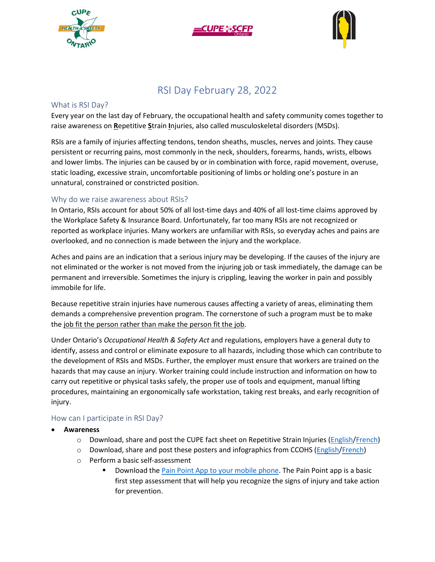





# RSI Day February 28, 2022

# What is RSI Day?

Every year on the last day of February, the occupational health and safety community comes together to raise awareness on **R**epetitive **S**train **I**njuries, also called musculoskeletal disorders (MSDs).

RSIs are a family of injuries affecting tendons, tendon sheaths, muscles, nerves and joints. They cause persistent or recurring pains, most commonly in the neck, shoulders, forearms, hands, wrists, elbows and lower limbs. The injuries can be caused by or in combination with force, rapid movement, overuse, static loading, excessive strain, uncomfortable positioning of limbs or holding one's posture in an unnatural, constrained or constricted position.

## Why do we raise awareness about RSIs?

In Ontario, RSIs account for about 50% of all lost-time days and 40% of all lost-time claims approved by the Workplace Safety & Insurance Board. Unfortunately, far too many RSIs are not recognized or reported as workplace injuries. Many workers are unfamiliar with RSIs, so everyday aches and pains are overlooked, and no connection is made between the injury and the workplace.

Aches and pains are an indication that a serious injury may be developing. If the causes of the injury are not eliminated or the worker is not moved from the injuring job or task immediately, the damage can be permanent and irreversible. Sometimes the injury is crippling, leaving the worker in pain and possibly immobile for life.

Because repetitive strain injuries have numerous causes affecting a variety of areas, eliminating them demands a comprehensive prevention program. The cornerstone of such a program must be to make the job fit the person rather than make the person fit the job.

Under Ontario's *Occupational Health & Safety Act* and regulations, employers have a general duty to identify, assess and control or eliminate exposure to all hazards, including those which can contribute to the development of RSIs and MSDs. Further, the employer must ensure that workers are trained on the hazards that may cause an injury. Worker training could include instruction and information on how to carry out repetitive or physical tasks safely, the proper use of tools and equipment, manual lifting procedures, maintaining an ergonomically safe workstation, taking rest breaks, and early recognition of injury.

# How can I participate in RSI Day?

- **Awareness**
	- $\circ$  Download, share and post the CUPE fact sheet on Repetitive Strain Injuries [\(English](https://cupe.ca/repetitive-strain-injuries)[/French\)](https://scfp.ca/lesions-attribuables-au-travail-repetitif)
	- o Download, share and post these posters and infographics from CCOHS [\(English](https://www.ccohs.ca/events/rsi/)[/French\)](https://www.cchst.ca/events/rsi/)
	- o Perform a basic self-assessment
		- Download the Pain Point [App to your mobile phone.](https://www.ohcow.on.ca/resources/apps-tools-calculators/painpoint/) The Pain Point app is a basic first step assessment that will help you recognize the signs of injury and take action for prevention.